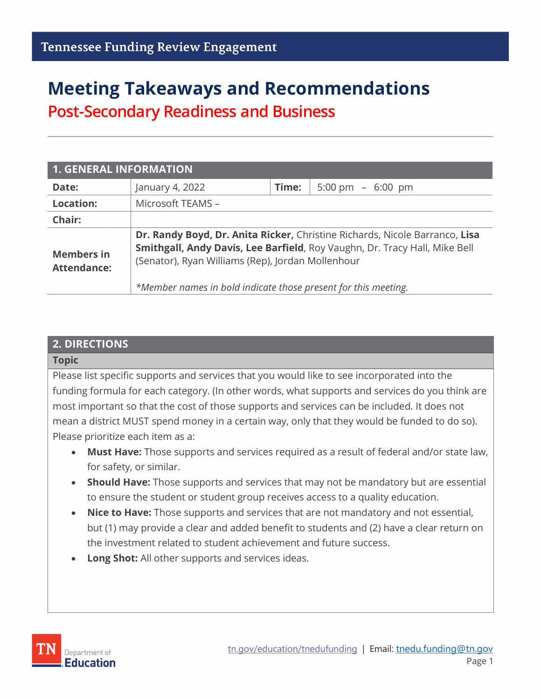# **Meeting Takeaways and Recommendations**

**Post-Secondary Readiness and Business**

| <b>1. GENERAL INFORMATION</b>           |                                                                                                                                                                                                                                                                                  |       |                     |  |
|-----------------------------------------|----------------------------------------------------------------------------------------------------------------------------------------------------------------------------------------------------------------------------------------------------------------------------------|-------|---------------------|--|
| Date:                                   | January 4, 2022                                                                                                                                                                                                                                                                  | Time: | 5:00 pm $-$ 6:00 pm |  |
| <b>Location:</b>                        | Microsoft TEAMS -                                                                                                                                                                                                                                                                |       |                     |  |
| Chair:                                  |                                                                                                                                                                                                                                                                                  |       |                     |  |
| <b>Members in</b><br><b>Attendance:</b> | Dr. Randy Boyd, Dr. Anita Ricker, Christine Richards, Nicole Barranco, Lisa<br>Smithgall, Andy Davis, Lee Barfield, Roy Vaughn, Dr. Tracy Hall, Mike Bell<br>(Senator), Ryan Williams (Rep), Jordan Mollenhour<br>*Member names in bold indicate those present for this meeting. |       |                     |  |

#### **2. DIRECTIONS**

#### **Topic**

Please list specific supports and services that you would like to see incorporated into the funding formula for each category. (In other words, what supports and services do you think are most important so that the cost of those supports and services can be included. It does not mean a district MUST spend money in a certain way, only that they would be funded to do so). Please prioritize each item as a:

- **Must Have:** Those supports and services required as a result of federal and/or state law, for safety, or similar.
- **Should Have:** Those supports and services that may not be mandatory but are essential to ensure the student or student group receives access to a quality education.
- **Nice to Have:** Those supports and services that are not mandatory and not essential, but (1) may provide a clear and added benefit to students and (2) have a clear return on the investment related to student achievement and future success.
- **Long Shot:** All other supports and services ideas.

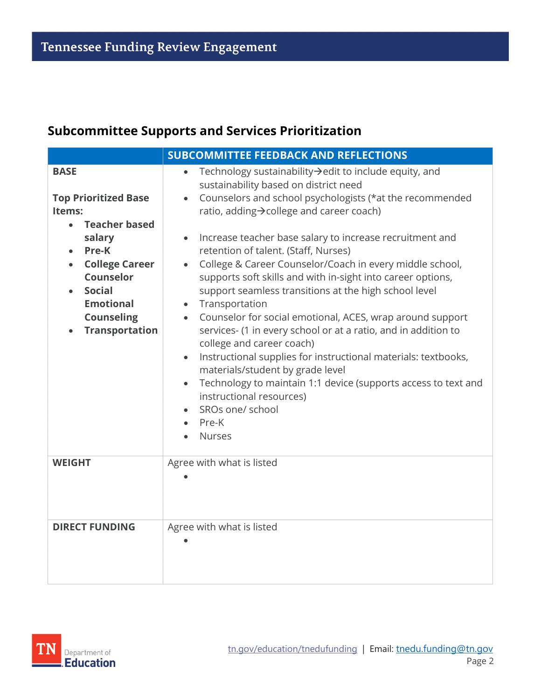## **Subcommittee Supports and Services Prioritization**

| <b>SUBCOMMITTEE FEEDBACK AND REFLECTIONS</b>                                                                                                                                                                                                              |                                                                                                                                                                                                                                                                                                                                                                                                                                                                                                                                                                                                                                                                                                                                                                                                                                                                                                                                                                                                             |  |
|-----------------------------------------------------------------------------------------------------------------------------------------------------------------------------------------------------------------------------------------------------------|-------------------------------------------------------------------------------------------------------------------------------------------------------------------------------------------------------------------------------------------------------------------------------------------------------------------------------------------------------------------------------------------------------------------------------------------------------------------------------------------------------------------------------------------------------------------------------------------------------------------------------------------------------------------------------------------------------------------------------------------------------------------------------------------------------------------------------------------------------------------------------------------------------------------------------------------------------------------------------------------------------------|--|
| <b>BASE</b><br><b>Top Prioritized Base</b><br>Items:<br><b>Teacher based</b><br>$\bullet$<br>salary<br>Pre-K<br><b>College Career</b><br>$\bullet$<br><b>Counselor</b><br><b>Social</b><br><b>Emotional</b><br><b>Counseling</b><br><b>Transportation</b> | Technology sustainability→edit to include equity, and<br>sustainability based on district need<br>Counselors and school psychologists (*at the recommended<br>$\bullet$<br>ratio, adding→college and career coach)<br>Increase teacher base salary to increase recruitment and<br>$\bullet$<br>retention of talent. (Staff, Nurses)<br>College & Career Counselor/Coach in every middle school,<br>supports soft skills and with in-sight into career options,<br>support seamless transitions at the high school level<br>Transportation<br>$\bullet$<br>Counselor for social emotional, ACES, wrap around support<br>$\bullet$<br>services- (1 in every school or at a ratio, and in addition to<br>college and career coach)<br>Instructional supplies for instructional materials: textbooks,<br>$\bullet$<br>materials/student by grade level<br>Technology to maintain 1:1 device (supports access to text and<br>$\bullet$<br>instructional resources)<br>SROs one/ school<br>Pre-K<br><b>Nurses</b> |  |
| <b>WEIGHT</b>                                                                                                                                                                                                                                             | Agree with what is listed                                                                                                                                                                                                                                                                                                                                                                                                                                                                                                                                                                                                                                                                                                                                                                                                                                                                                                                                                                                   |  |
| <b>DIRECT FUNDING</b>                                                                                                                                                                                                                                     | Agree with what is listed                                                                                                                                                                                                                                                                                                                                                                                                                                                                                                                                                                                                                                                                                                                                                                                                                                                                                                                                                                                   |  |